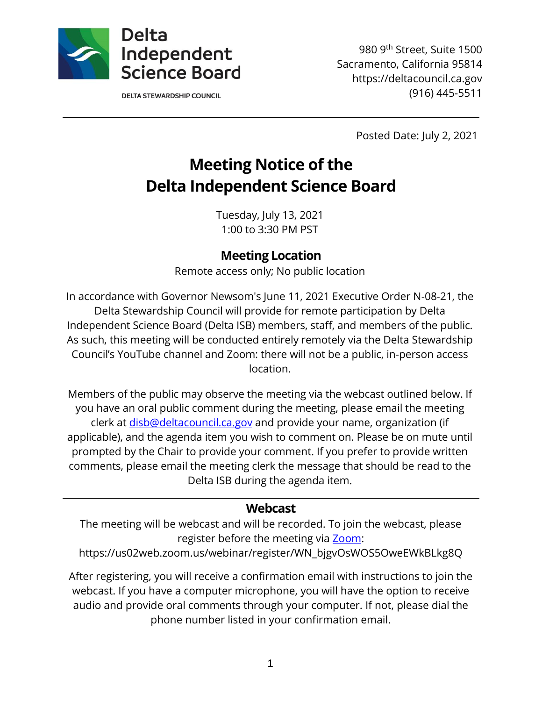

**DELTA STEWARDSHIP COUNCIL** 

980 9th Street, Suite 1500 Sacramento, California 95814 https://deltacouncil.ca.gov (916) 445-5511

Posted Date: July 2, 2021

# **Meeting Notice of the Delta Independent Science Board**

Tuesday, July 13, 2021 1:00 to 3:30 PM PST

### **Meeting Location**

Remote access only; No public location

In accordance with Governor Newsom's June 11, 2021 Executive Order N-08-21, the Delta Stewardship Council will provide for remote participation by Delta Independent Science Board (Delta ISB) members, staff, and members of the public. As such, this meeting will be conducted entirely remotely via the Delta Stewardship Council's YouTube channel and Zoom: there will not be a public, in-person access location.

Members of the public may observe the meeting via the webcast outlined below. If you have an oral public comment during the meeting, please email the meeting clerk at [disb@deltacouncil.ca.gov](mailto:disb@deltacouncil.ca.gov) and provide your name, organization (if applicable), and the agenda item you wish to comment on. Please be on mute until prompted by the Chair to provide your comment. If you prefer to provide written comments, please email the meeting clerk the message that should be read to the Delta ISB during the agenda item.

#### **Webcast**

The meeting will be webcast and will be recorded. To join the webcast, please register before the meeting via [Zoom:](https://us02web.zoom.us/webinar/register/WN_bjgvOsWOS5OweEWkBLkg8Q)

https://us02web.zoom.us/webinar/register/WN\_bjgvOsWOS5OweEWkBLkg8Q

After registering, you will receive a confirmation email with instructions to join the webcast. If you have a computer microphone, you will have the option to receive audio and provide oral comments through your computer. If not, please dial the phone number listed in your confirmation email.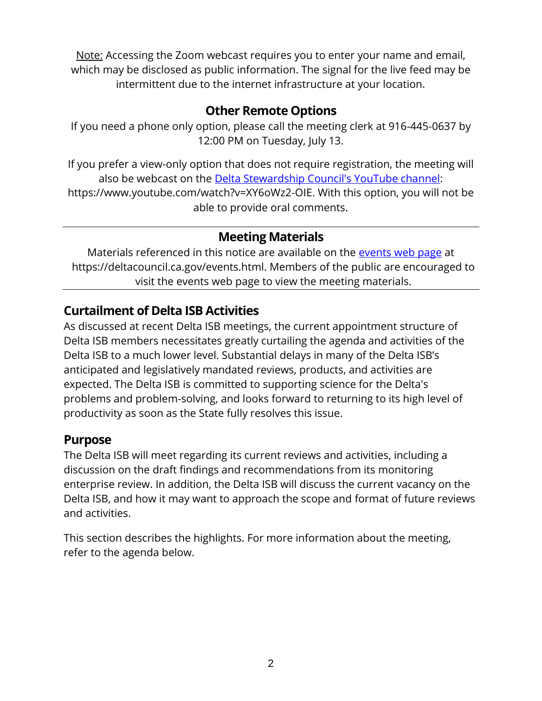Note: Accessing the Zoom webcast requires you to enter your name and email, which may be disclosed as public information. The signal for the live feed may be intermittent due to the internet infrastructure at your location.

# **Other Remote Options**

If you need a phone only option, please call the meeting clerk at 916-445-0637 by 12:00 PM on Tuesday, July 13.

If you prefer a view-only option that does not require registration, the meeting will also be webcast on the [Delta Stewardship Council's YouTube channel:](https://www.youtube.com/watch?v=XY6oWz2-OIE) https://www.youtube.com/watch?v=XY6oWz2-OIE. With this option, you will not be able to provide oral comments.

## **Meeting Materials**

Materials referenced in this notice are available on the [events web page](https://deltacouncil.ca.gov/events.html) at https://deltacouncil.ca.gov/events.html. Members of the public are encouraged to visit the events web page to view the meeting materials.

# **Curtailment of Delta ISB Activities**

As discussed at recent Delta ISB meetings, the current appointment structure of Delta ISB members necessitates greatly curtailing the agenda and activities of the Delta ISB to a much lower level. Substantial delays in many of the Delta ISB's anticipated and legislatively mandated reviews, products, and activities are expected. The Delta ISB is committed to supporting science for the Delta's problems and problem-solving, and looks forward to returning to its high level of productivity as soon as the State fully resolves this issue.

### **Purpose**

The Delta ISB will meet regarding its current reviews and activities, including a discussion on the draft findings and recommendations from its monitoring enterprise review. In addition, the Delta ISB will discuss the current vacancy on the Delta ISB, and how it may want to approach the scope and format of future reviews and activities.

This section describes the highlights. For more information about the meeting, refer to the agenda below.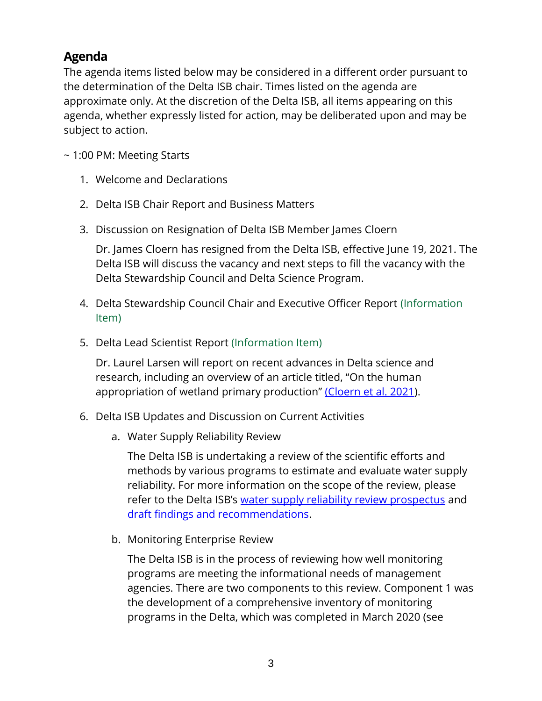# **Agenda**

The agenda items listed below may be considered in a different order pursuant to the determination of the Delta ISB chair. Times listed on the agenda are approximate only. At the discretion of the Delta ISB, all items appearing on this agenda, whether expressly listed for action, may be deliberated upon and may be subject to action.

~ 1:00 PM: Meeting Starts

- 1. Welcome and Declarations
- 2. Delta ISB Chair Report and Business Matters
- 3. Discussion on Resignation of Delta ISB Member James Cloern

Dr. James Cloern has resigned from the Delta ISB, effective June 19, 2021. The Delta ISB will discuss the vacancy and next steps to fill the vacancy with the Delta Stewardship Council and Delta Science Program.

- 4. Delta Stewardship Council Chair and Executive Officer Report (Information Item)
- 5. Delta Lead Scientist Report (Information Item)

Dr. Laurel Larsen will report on recent advances in Delta science and research, including an overview of an article titled, "On the human appropriation of wetland primary production" (Cloern [et al. 2021\)](https://www.sciencedirect.com/science/article/pii/S0048969721021677).

- 6. Delta ISB Updates and Discussion on Current Activities
	- a. Water Supply Reliability Review

The Delta ISB is undertaking a review of the scientific efforts and methods by various programs to estimate and evaluate water supply reliability. For more information on the scope of the review, please refer to the Delta ISB's [water supply reliability review prospectus](http://deltacouncil.ca.gov/pdf/isb/products/2018-04-03-isb-water-supply-prospectus.pdf) and [draft findings and recommendations.](https://deltacouncil.ca.gov/pdf/isb/meeting-materials/2021-06-09-excerpts-delta-isb-water-supply-review.pdf)

b. Monitoring Enterprise Review

The Delta ISB is in the process of reviewing how well monitoring programs are meeting the informational needs of management agencies. There are two components to this review. Component 1 was the development of a comprehensive inventory of monitoring programs in the Delta, which was completed in March 2020 (see